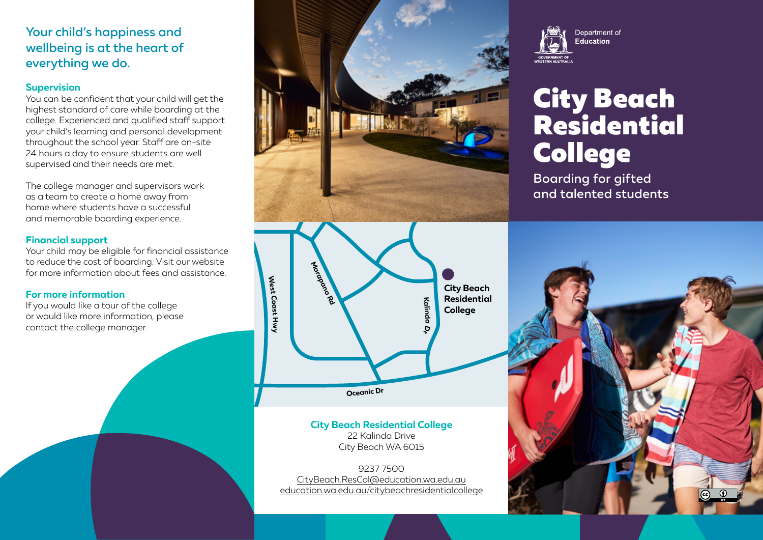# Your child's happiness and wellbeing is at the heart of everything we do.

#### **Supervision**

You can be confident that your child will get the highest standard of care while boarding at the college. Experienced and qualified staff support your child's learning and personal development throughout the school year. Staff are on-site 24 hours a day to ensure students are well supervised and their needs are met.

The college manager and supervisors work as a team to create a home away from home where students have a successful and memorable boarding experience.

## **Financial support**

Your child may be eligible for financial assistance to reduce the cost of boarding. Visit our website for more information about fees and assistance.

### **For more information**

If you would like a tour of the college or would like more information, please contact the college manager.



**City Beach Residential College** 22 Kalinda Drive City Beach WA 6015

9237 7500 [CityBeach.ResCol@education.wa.edu.au](mailto:CityBeach.ResCol%40education.wa.edu.au?subject=) [education.wa.edu.au/citybeachresidentialcollege](http://education.wa.edu.au/citybeachresidentialcollege)



# City Beach Residential College

Boarding for gifted and talented students